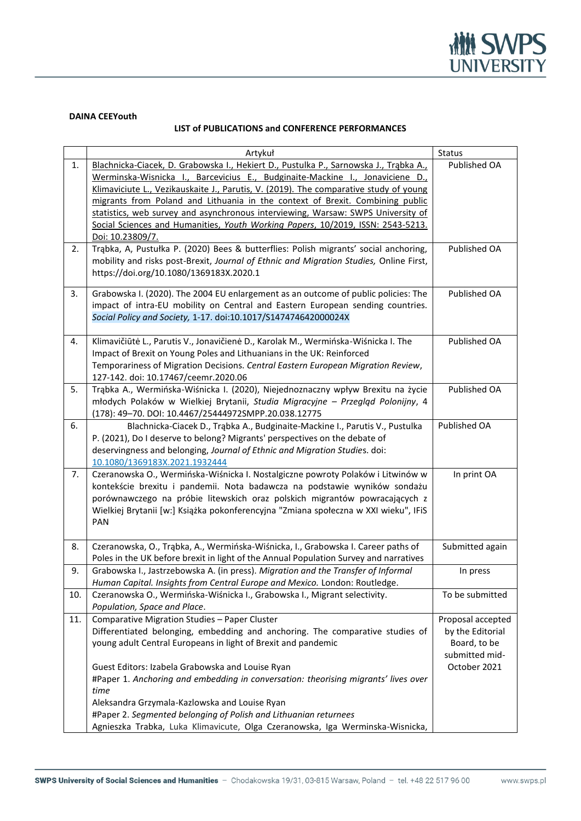

## **DAINA CEEYouth**

## **LIST of PUBLICATIONS and CONFERENCE PERFORMANCES**

|     | Artykuł                                                                                                                                                                                                                                                                                                                                                                                                                                                                                                                                     | Status                                                                  |
|-----|---------------------------------------------------------------------------------------------------------------------------------------------------------------------------------------------------------------------------------------------------------------------------------------------------------------------------------------------------------------------------------------------------------------------------------------------------------------------------------------------------------------------------------------------|-------------------------------------------------------------------------|
| 1.  | Blachnicka-Ciacek, D. Grabowska I., Hekiert D., Pustulka P., Sarnowska J., Trabka A.,<br>Werminska-Wisnicka I., Barcevicius E., Budginaite-Mackine I., Jonaviciene D.,<br>Klimaviciute L., Vezikauskaite J., Parutis, V. (2019). The comparative study of young<br>migrants from Poland and Lithuania in the context of Brexit. Combining public<br>statistics, web survey and asynchronous interviewing, Warsaw: SWPS University of<br>Social Sciences and Humanities, Youth Working Papers, 10/2019, ISSN: 2543-5213.<br>Doi: 10.23809/7. | Published OA                                                            |
| 2.  | Trąbka, A, Pustułka P. (2020) Bees & butterflies: Polish migrants' social anchoring,<br>mobility and risks post-Brexit, Journal of Ethnic and Migration Studies, Online First,<br>https://doi.org/10.1080/1369183X.2020.1                                                                                                                                                                                                                                                                                                                   | Published OA                                                            |
| 3.  | Grabowska I. (2020). The 2004 EU enlargement as an outcome of public policies: The<br>impact of intra-EU mobility on Central and Eastern European sending countries.<br>Social Policy and Society, 1-17. doi:10.1017/S147474642000024X                                                                                                                                                                                                                                                                                                      | Published OA                                                            |
| 4.  | Klimavičiūtė L., Parutis V., Jonavičienė D., Karolak M., Wermińska-Wiśnicka I. The<br>Impact of Brexit on Young Poles and Lithuanians in the UK: Reinforced<br>Temporariness of Migration Decisions. Central Eastern European Migration Review,<br>127-142. doi: 10.17467/ceemr.2020.06                                                                                                                                                                                                                                                     | Published OA                                                            |
| 5.  | Trąbka A., Wermińska-Wiśnicka I. (2020), Niejednoznaczny wpływ Brexitu na życie<br>młodych Polaków w Wielkiej Brytanii, Studia Migracyjne - Przegląd Polonijny, 4<br>(178): 49-70. DOI: 10.4467/25444972SMPP.20.038.12775                                                                                                                                                                                                                                                                                                                   | Published OA                                                            |
| 6.  | Blachnicka-Ciacek D., Trąbka A., Budginaite-Mackine I., Parutis V., Pustulka<br>P. (2021), Do I deserve to belong? Migrants' perspectives on the debate of<br>deservingness and belonging, Journal of Ethnic and Migration Studies. doi:<br>10.1080/1369183X.2021.1932444                                                                                                                                                                                                                                                                   | Published OA                                                            |
| 7.  | Czeranowska O., Wermińska-Wiśnicka I. Nostalgiczne powroty Polaków i Litwinów w<br>kontekście brexitu i pandemii. Nota badawcza na podstawie wyników sondażu<br>porównawczego na próbie litewskich oraz polskich migrantów powracających z<br>Wielkiej Brytanii [w:] Książka pokonferencyjna "Zmiana społeczna w XXI wieku", IFiS<br><b>PAN</b>                                                                                                                                                                                             | In print OA                                                             |
| 8.  | Czeranowska, O., Trąbka, A., Wermińska-Wiśnicka, I., Grabowska I. Career paths of<br>Poles in the UK before brexit in light of the Annual Population Survey and narratives                                                                                                                                                                                                                                                                                                                                                                  | Submitted again                                                         |
| 9.  | Grabowska I., Jastrzebowska A. (in press). Migration and the Transfer of Informal<br>Human Capital. Insights from Central Europe and Mexico. London: Routledge.                                                                                                                                                                                                                                                                                                                                                                             | In press                                                                |
| 10. | Czeranowska O., Wermińska-Wiśnicka I., Grabowska I., Migrant selectivity.<br>Population, Space and Place.                                                                                                                                                                                                                                                                                                                                                                                                                                   | To be submitted                                                         |
| 11. | Comparative Migration Studies - Paper Cluster<br>Differentiated belonging, embedding and anchoring. The comparative studies of<br>young adult Central Europeans in light of Brexit and pandemic                                                                                                                                                                                                                                                                                                                                             | Proposal accepted<br>by the Editorial<br>Board, to be<br>submitted mid- |
|     | Guest Editors: Izabela Grabowska and Louise Ryan<br>#Paper 1. Anchoring and embedding in conversation: theorising migrants' lives over<br>time<br>Aleksandra Grzymala-Kazlowska and Louise Ryan<br>#Paper 2. Segmented belonging of Polish and Lithuanian returnees                                                                                                                                                                                                                                                                         | October 2021                                                            |
|     | Agnieszka Trabka, Luka Klimavicute, Olga Czeranowska, Iga Werminska-Wisnicka,                                                                                                                                                                                                                                                                                                                                                                                                                                                               |                                                                         |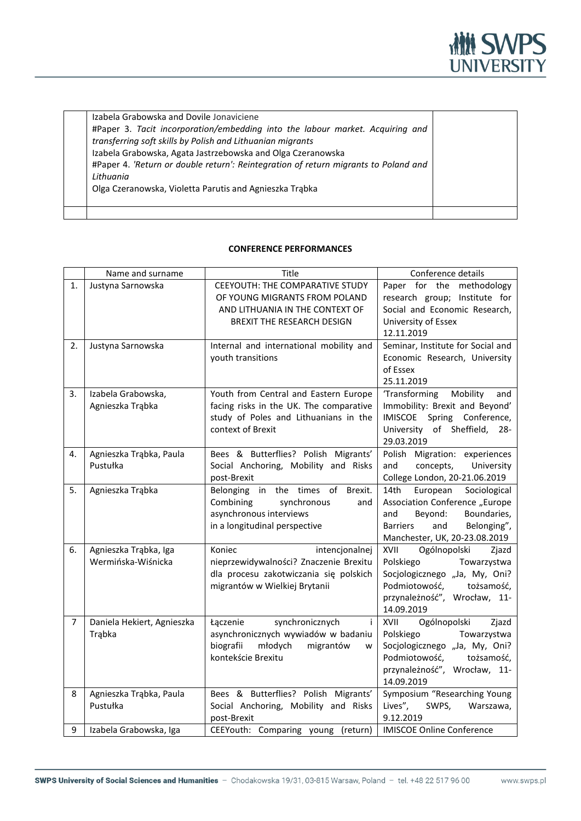

Izabela Grabowska and Dovile Jonaviciene #Paper 3. *Tacit incorporation/embedding into the labour market. Acquiring and transferring soft skills by Polish and Lithuanian migrants* Izabela Grabowska, Agata Jastrzebowska and Olga Czeranowska #Paper 4. *'Return or double return': Reintegration of return migrants to Poland and Lithuania* Olga Czeranowska, Violetta Parutis and Agnieszka Trąbka

## **CONFERENCE PERFORMANCES**

|    | Name and surname                            | Title                                                                                                                                          | Conference details                                                                                                                                                      |
|----|---------------------------------------------|------------------------------------------------------------------------------------------------------------------------------------------------|-------------------------------------------------------------------------------------------------------------------------------------------------------------------------|
| 1. | Justyna Sarnowska                           | CEEYOUTH: THE COMPARATIVE STUDY<br>OF YOUNG MIGRANTS FROM POLAND<br>AND LITHUANIA IN THE CONTEXT OF<br>BREXIT THE RESEARCH DESIGN              | Paper for the methodology<br>research group; Institute for<br>Social and Economic Research,<br>University of Essex<br>12.11.2019                                        |
| 2. | Justyna Sarnowska                           | Internal and international mobility and<br>youth transitions                                                                                   | Seminar, Institute for Social and<br>Economic Research, University<br>of Essex<br>25.11.2019                                                                            |
| 3. | Izabela Grabowska,<br>Agnieszka Trąbka      | Youth from Central and Eastern Europe<br>facing risks in the UK. The comparative<br>study of Poles and Lithuanians in the<br>context of Brexit | Mobility<br>'Transforming<br>and<br>Immobility: Brexit and Beyond'<br>IMISCOE Spring Conference,<br>University of Sheffield, 28-<br>29.03.2019                          |
| 4. | Agnieszka Trąbka, Paula<br>Pustułka         | Bees & Butterflies? Polish Migrants'<br>Social Anchoring, Mobility and Risks<br>post-Brexit                                                    | Polish Migration: experiences<br>and<br>concepts,<br>University<br>College London, 20-21.06.2019                                                                        |
| 5. | Agnieszka Trąbka                            | Belonging in the times of Brexit.<br>Combining<br>synchronous<br>and<br>asynchronous interviews<br>in a longitudinal perspective               | European<br>Sociological<br>14th<br>Association Conference "Europe<br>Beyond:<br>and<br>Boundaries,<br>and<br>Barriers<br>Belonging",<br>Manchester, UK, 20-23.08.2019  |
| 6. | Agnieszka Trąbka, Iga<br>Wermińska-Wiśnicka | Koniec<br>intencjonalnej<br>nieprzewidywalności? Znaczenie Brexitu<br>dla procesu zakotwiczania się polskich<br>migrantów w Wielkiej Brytanii  | Ogólnopolski<br>XVII<br>Zjazd<br>Polskiego<br>Towarzystwa<br>Socjologicznego "Ja, My, Oni?<br>Podmiotowość,<br>tożsamość,<br>przynależność", Wrocław, 11-<br>14.09.2019 |
| 7  | Daniela Hekiert, Agnieszka<br>Trąbka        | synchronicznych<br>j.<br>Łączenie<br>asynchronicznych wywiadów w badaniu<br>biografii<br>młodych<br>migrantów<br>W<br>kontekście Brexitu       | XVII<br>Ogólnopolski<br>Zjazd<br>Polskiego<br>Towarzystwa<br>Socjologicznego "Ja, My, Oni?<br>Podmiotowość,<br>tożsamość,<br>przynależność", Wrocław, 11-<br>14.09.2019 |
| 8  | Agnieszka Trąbka, Paula<br>Pustułka         | Bees & Butterflies? Polish Migrants'<br>Social Anchoring, Mobility and Risks<br>post-Brexit                                                    | Symposium "Researching Young<br>Lives",<br>SWPS,<br>Warszawa,<br>9.12.2019                                                                                              |
| 9  | Izabela Grabowska, Iga                      | CEEYouth: Comparing young (return)                                                                                                             | <b>IMISCOE Online Conference</b>                                                                                                                                        |